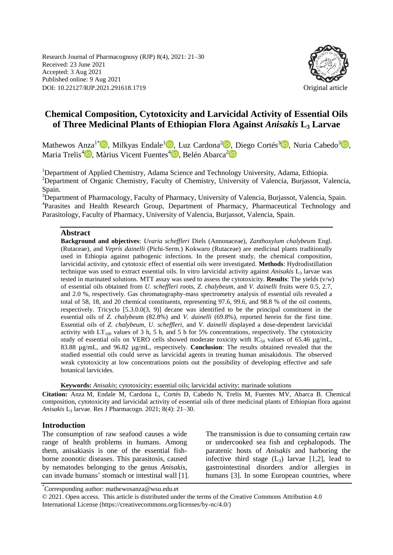Research Journal of Pharmacognosy (RJP) 8(4), 2021: 21–30 Received: 23 June 2021 Accepted: 3 Aug 2021 Published online: 9 Aug 2021 DOI: 10.22127/RJP.2021.291618.1719 Original article



# **Chemical Composition, Cytotoxicity and Larvicidal Activity of Essential Oils of Three Medicinal Plants of Ethiopian Flora Against** *Anisakis* **L<sup>3</sup> Larvae**

Mathewos Anza<sup>1[\\*](https://orcid.org/0000-0002-5141-599X)</sup><sup>D</sup>, Milkyas Endale<sup>[1](https://orcid.org/0000-0002-5301-9923)</sup>D[,](https://orcid.org/0000-0001-6729-8057) Luz Cardona<sup>2</sup>D, Diego Cortés<sup>3</sup>D, Nuria Cabedo<sup>3</sup>D, Maria Trelis<sup>4</sup>D[,](https://orcid.org/0000-0002-9508-6390) Màrius Vicent Fuentes<sup>4</sup>D, Belén Abarca<sup>[2](https://orcid.org/0000-0003-1060-9752)</sup>

<sup>1</sup>Department of Applied Chemistry, Adama Science and Technology University, Adama, Ethiopia. <sup>2</sup>Department of Organic Chemistry, Faculty of Chemistry, University of Valencia, Burjassot, Valencia, Spain.

<sup>3</sup>Department of Pharmacology, Faculty of Pharmacy, University of Valencia, Burjassot, Valencia, Spain. <sup>4</sup>Parasites and Health Research Group, Department of Pharmacy, Pharmaceutical Technology and Parasitology, Faculty of Pharmacy, University of Valencia, Burjassot, Valencia, Spain.

#### **Abstract**

**Background and objectives**: *Uvaria scheffleri* Diels (Annonaceae), *Zanthoxylum chalybeu*m Engl. (Rutaceae), and *Vepris dainelli* (Pichi-Serm.) Kokwaro (Rutaceae) are medicinal plants traditionally used in Ethiopia against pathogenic infections. In the present study, the chemical composition, larvicidal activity, and cytotoxic effect of essential oils were investigated. **Methods**: Hydrodistillation technique was used to extract essential oils. In vitro larvicidal activity against *Anisakis* L<sub>3</sub> larvae was tested in marinated solutions. MTT assay was used to assess the cytotoxicity. **Results**: The yields (v/w) of essential oils obtained from *U. scheffleri* roots, *Z. chalybeum,* and *V. dainelli* fruits were 0.5, 2.7, and 2.0 %, respectively. Gas chromatography-mass spectrometry analysis of essential oils revealed a total of 58, 18, and 20 chemical constituents, representing 97.6, 99.6, and 98.8 % of the oil contents, respectively. Tricyclo [5.3.0.0(3, 9)] decane was identified to be the principal constituent in the essential oils of *Z. chalybeu*m (82.8%) and *V. dainelli* (69.8%), reported herein for the first time. Essential oils of *Z. chalybeum, U. scheffleri,* and *V. dainelli* displayed a dose-dependent larvicidal activity with  $LT_{100}$  values of 3 h, 5 h, and 5 h for 5% concentrations, respectively. The cytotoxicity study of essential oils on VERO cells showed moderate toxicity with  $IC_{50}$  values of 65.46  $\mu g/mL$ , 83.88 µg/mL, and 96.82 µg/mL, respectively. **Conclusion**: The results obtained revealed that the studied essential oils could serve as larvicidal agents in treating human anisakidosis. The observed weak cytotoxicity at low concentrations points out the possibility of developing effective and safe botanical larvicides.

**Keywords:** *Anisakis*; cytotoxicity; essential oils; larvicidal activity; marinade solutions

**Citation:** Anza M, Endale M, Cardona L, Cortés D, Cabedo N, Trelis M, Fuentes MV, Abarca B. Chemical composition, cytotoxicity and larvicidal activity of essential oils of three medicinal plants of Ethiopian flora against *Anisakis* L<sup>3</sup> larvae. Res J Pharmacogn. 2021; 8(4): 21–30.

#### **Introduction**

The consumption of raw seafood causes a wide range of health problems in humans. Among them, anisakiasis is one of the essential fishborne zoonotic diseases. This parasitosis, caused by nematodes belonging to the genus *Anisakis*, can invade humans' stomach or intestinal wall [1]. The transmission is due to consuming certain raw or undercooked sea fish and cephalopods. The paratenic hosts of *Anisakis* and harboring the infective third stage  $(L_3)$  larvae [1,2], lead to gastrointestinal disorders and/or allergies in humans [3]. In some European countries, where

\* Corresponding author: mathewosanza@wsu.edu.et

© 2021. Open access. This article is distributed under the terms of the Creative Commons Attribution 4.0 International License (https://creativecommons.org/licenses/by-nc/4.0/)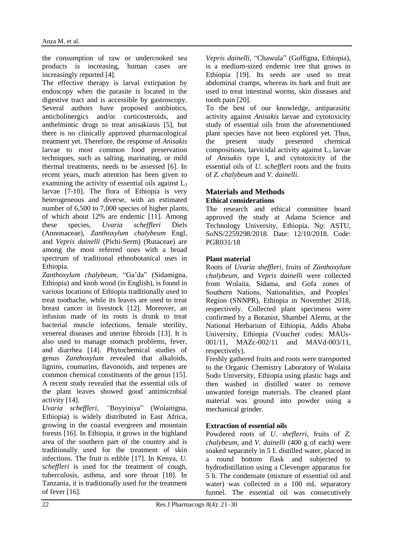the consumption of raw or undercooked sea products is increasing, human cases are increasingly reported [4].

The effective therapy is larval extirpation by endoscopy when the parasite is located in the digestive tract and is accessible by gastroscopy. Several authors have proposed antibiotics, anticholinergics and/or corticosteroids, and anthelmintic drugs to treat anisakiasis [5], but there is no clinically approved pharmacological treatment yet. Therefore, the response of *Anisakis* larvae to most common food preservation techniques, such as salting, marinating, or mild thermal treatments, needs to be assessed [6]. In recent years, much attention has been given to examining the activity of essential oils against  $L<sub>3</sub>$ larvae [7-10]. The flora of Ethiopia is very heterogeneous and diverse, with an estimated number of 6,500 to 7,000 species of higher plants, of which about 12% are endemic [11]. Among these species, *Uvaria scheffleri* Diels (Annonaceae)*, Zanthoxylum chalybeum* Engl, and *Vepris dainelli* (Pichi-Serm) (Rutaceae) are among the most referred ones with a broad spectrum of traditional ethnobotanical uses in Ethiopia.

*Zanthoxylum chalybeum*, "Ga'da" (Sidamigna, Ethiopia) and knob wood (in English), is found in various locations of Ethiopia traditionally used to treat toothache, while its leaves are used to treat breast cancer in livestock [12]. Moreover, an infusion made of its roots is drunk to treat bacterial muscle infections, female sterility, venereal diseases and uterine fibroids [13]. It is also used to manage stomach problems, fever, and diarrhea [14]. Phytochemical studies of genus *Zanthoxylum* revealed that alkaloids, lignins, coumarins, flavonoids, and terpenes are common chemical constituents of the genus [15]. A recent study revealed that the essential oils of the plant leaves showed good antimicrobial activity [14].

*Uvaria scheffleri, "*Boyyiniya" (Wolaitigna, Ethiopia) is widely distributed in East Africa, growing in the coastal evergreen and mountain forests [16]. In Ethiopia, it grows in the highland area of the southern part of the country and is traditionally used for the treatment of skin infections. The fruit is edible [17]. In Kenya, *U. scheffleri* is used for the treatment of cough, tuberculosis, asthma, and sore throat [18]. In Tanzania, it is traditionally used for the treatment of fever [16].

*Vepris dainelli*, "Chawula" (Goffigna, Ethiopia), is a medium-sized endemic tree that grows in Ethiopia [19]. Its seeds are used to treat abdominal cramps, whereas its bark and fruit are used to treat intestinal worms, skin diseases and tooth pain [20].

To the best of our knowledge, antiparasitic activity against *Anisakis* larvae and cytotoxicity study of essential oils from the aforementioned plant species have not been explored yet. Thus, the present study presented chemical compositions, larvicidal activity against  $L<sub>3</sub>$  larvae of *Anisakis* type I, and cytotoxicity of the essential oils of *U. scheffleri* roots and the fruits of *Z. chalybeum* and *V. dainelli*.

# **Materials and Methods Ethical considerations**

The research and ethical committee board approved the study at Adama Science and Technology University, Ethiopia. No: ASTU, SoNS/2259298/2018. Date: 12/10/2018. Code: PGR031/18

# **Plant material**

Roots of *Uvaria sheffleri*, fruits of *Zanthoxylum chalybeum,* and *Vepris dainelli* were collected from Wolaita, Sidama, and Gofa zones of Southern Nations, Nationalities, and Peoples' Region (SNNPR), Ethiopia in November 2018, respectively. Collected plant specimens were confirmed by a Botanist, Shambel Alemu, at the National Herbarium of Ethiopia, Addis Ababa University, Ethiopia (Voucher codes: MAUs-001/11, MAZc-002/11 and MAVd-003/11, respectively).

Freshly gathered fruits and roots were transported to the Organic Chemistry Laboratory of Wolaita Sodo University, Ethiopia using plastic bags and then washed in distilled water to remove unwanted foreign materials. The cleaned plant material was ground into powder using a mechanical grinder.

# **Extraction of essential oils**

Powdered roots of *U. sheflerri*, fruits of *Z. chalybeum*, and *V. dainelli* (400 g of each) were soaked separately in 5 L distilled water, placed in a round bottom flask and subjected to hydrodistillation using a Clevenger apparatus for 5 h. The condensate (mixture of essential oil and water) was collected in a 100 mL separatory funnel. The essential oil was consecutively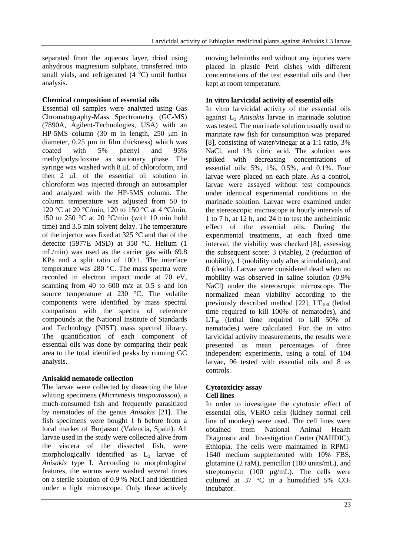separated from the aqueous layer, dried using anhydrous magnesium sulphate, transferred into small vials, and refrigerated  $(4 \degree C)$  until further analysis.

### **Chemical composition of essential oils**

Essential oil samples were analyzed using Gas Chromatography-Mass Spectrometry (GC-MS) (7890A, Agilent-Technologies, USA) with an HP-5MS column (30 m in length, 250 μm in diameter, 0.25 μm in film thickness) which was coated with 5% phenyl and 95% methylpolysiloxane as stationary phase. The syringe was washed with 8 μL of chloroform, and then 2 μL of the essential oil solution in chloroform was injected through an autosampler and analyzed with the HP-5MS column. The column temperature was adjusted from 50 to 120 °C at 20 °C/min, 120 to 150 °C at 4 °C/min, 150 to 250 °C at 20 °C/min (with 10 min hold time) and 3.5 min solvent delay. The temperature of the injector was fixed at 325 °C and that of the detector (5977E MSD) at 350 °C. Helium (1 mL/min) was used as the carrier gas with 69.8 KPa and a split ratio of 100:1. The interface temperature was 280 °C. The mass spectra were recorded in electron impact mode at 70 eV, scanning from 40 to 600 m/z at 0.5 s and ion source temperature at 230 °C. The volatile components were identified by mass spectral comparison with the spectra of reference compounds at the National Institute of Standards and Technology (NIST) mass spectral library. The quantification of each component of essential oils was done by comparing their peak area to the total identified peaks by running GC analysis.

# **Anisakid nematode collection**

The larvae were collected by dissecting the blue whiting specimens (*Micromesis tiuspoutassou*), a much-consumed fish and frequently parasitized by nematodes of the genus *Anisakis* [21]. The fish specimens were bought 1 h before from a local market of Burjassot (Valencia, Spain). All larvae used in the study were collected alive from the viscera of the dissected fish, were morphologically identified as  $L_3$  larvae of *Anisakis* type I. According to morphological features, the worms were washed several times on a sterile solution of 0.9 % NaCl and identified under a light microscope. Only those actively moving helminths and without any injuries were placed in plastic Petri dishes with different concentrations of the test essential oils and then kept at room temperature.

### **In vitro larvicidal activity of essential oils**

In vitro larvicidal activity of the essential oils against L<sup>3</sup> *Anisakis* larvae in marinade solution was tested. The marinade solution usually used to marinate raw fish for consumption was prepared [8], consisting of water/vinegar at a 1:1 ratio, 3% NaCl, and 1% citric acid. The solution was spiked with decreasing concentrations of essential oils: 5%, 1%, 0.5%, and 0.1%. Four larvae were placed on each plate. As a control, larvae were assayed without test compounds under identical experimental conditions in the marinade solution. Larvae were examined under the stereoscopic microscope at hourly intervals of 1 to 7 h, at 12 h, and 24 h to test the anthelmintic effect of the essential oils. During the experimental treatments, at each fixed time interval, the viability was checked [8], assessing the subsequent score: 3 (viable), 2 (reduction of mobility), 1 (mobility only after stimulation), and 0 (death). Larvae were considered dead when no mobility was observed in saline solution (0.9% NaCl) under the stereoscopic microscope. The normalized mean viability according to the previously described method  $[22]$ ,  $LT_{100}$  (lethal time required to kill 100% of nematodes), and  $LT_{50}$  (lethal time required to kill 50% of nematodes) were calculated. For the in vitro larvicidal activity measurements, the results were presented as mean percentages of three independent experiments, using a total of 104 larvae, 96 tested with essential oils and 8 as controls.

#### **Cytotoxicity assay Cell lines**

In order to investigate the cytotoxic effect of essential oils, VERO cells (kidney normal cell line of monkey) were used. The cell lines were obtained from National Animal Health Diagnostic and Investigation Center (NAHDIC), Ethiopia. The cells were maintained in RPMI-1640 medium supplemented with 10% FBS, glutamine (2 raM), penicillin (100 units/mL), and streptomycin (100  $\mu$ g/mL). The cells were cultured at 37 °C in a humidified 5%  $CO<sub>2</sub>$ incubator.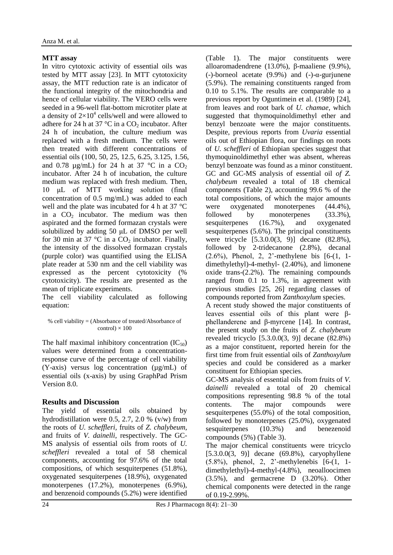# **MTT assay**

In vitro cytotoxic activity of essential oils was tested by MTT assay [23]. In MTT cytotoxicity assay, the MTT reduction rate is an indicator of the functional integrity of the mitochondria and hence of cellular viability. The VERO cells were seeded in a 96-well flat-bottom microtiter plate at a density of  $2\times10^4$  cells/well and were allowed to adhere for 24 h at 37 °C in a  $CO_2$  incubator. After 24 h of incubation, the culture medium was replaced with a fresh medium. The cells were then treated with different concentrations of essential oils (100, 50, 25, 12.5, 6.25, 3.125, 1.56, and 0.78  $\mu$ g/mL) for 24 h at 37 °C in a CO<sub>2</sub> incubator. After 24 h of incubation, the culture medium was replaced with fresh medium. Then, 10 μL of MTT working solution (final concentration of 0.5 mg/mL) was added to each well and the plate was incubated for 4 h at 37 °C in a  $CO<sub>2</sub>$  incubator. The medium was then aspirated and the formed formazan crystals were solubilized by adding 50 μL of DMSO per well for 30 min at 37 °C in a  $CO<sub>2</sub>$  incubator. Finally, the intensity of the dissolved formazan crystals (purple color) was quantified using the ELISA plate reader at 530 nm and the cell viability was expressed as the percent cytotoxicity (% cytotoxicity). The results are presented as the mean of triplicate experiments.

The cell viability calculated as following equation:

% cell viability = (Absorbance of treated/Absorbance of  $control \times 100$ 

The half maximal inhibitory concentration  $(IC_{50})$ values were determined from a concentrationresponse curve of the percentage of cell viability (Y-axis) versus log concentration (µg/mL) of essential oils (x-axis) by using GraphPad Prism Version 8.0.

# **Results and Discussion**

The yield of essential oils obtained by hydrodistillation were 0.5, 2.7, 2.0 % (v/w) from the roots of *U. scheffleri,* fruits of *Z. chalybeum,*  and fruits of *V. dainelli*, respectively. The GC-MS analysis of essential oils from roots of *U. scheffleri* revealed a total of 58 chemical components, accounting for 97.6% of the total compositions, of which sesquiterpenes (51.8%), oxygenated sesquiterpenes (18.9%), oxygenated monoterpenes (17.2%), monoterpenes (6.9%), and benzenoid compounds (5.2%) were identified (Table 1). The major constituents were alloaromadendrene (13.0%), β-maaliene (9.9%), (-)-borneol acetate  $(9.9\%)$  and  $(-)$ - $\alpha$ -gurjunene (5.9%). The remaining constituents ranged from 0.10 to 5.1%. The results are comparable to a previous report by Oguntimein et al. (1989) [24], from leaves and root bark of *U. chamae,* which suggested that thymoquinoldimethyl ether and benzyl benzoate were the major constituents. Despite, previous reports from *Uvaria* essential oils out of Ethiopian flora, our findings on roots of *U. scheffleri* of Ethiopian species suggest that thymoquinoldimethyl ether was absent, whereas benzyl benzoate was found as a minor constituent. GC and GC-MS analysis of essential oil *of Z. chalybeum* revealed a total of 18 chemical components (Table 2), accounting 99.6 % of the total compositions, of which the major amounts were oxygenated monoterpenes (44.4%), followed by monoterpenes (33.3%), sesquiterpenes (16.7%), and oxygenated sesquiterpenes (5.6%). The principal constituents were tricycle [5.3.0.0(3, 9)] decane (82.8%), followed by 2-tridecanone (2.8%), decanal (2.6%), Phenol, 2, 2'-methylene bis [6-(1, 1 dimethylethyl)-4-methyl- (2.40%), and limonene oxide trans-(2.2%). The remaining compounds ranged from 0.1 to 1.3%, in agreement with previous studies [25, 26] regarding classes of compounds reported from *Zanthoxylum* species. A recent study showed the major constituents of leaves essential oils of this plant were βphellanderene and β-myrcene [14]. In contrast, the present study on the fruits of *Z. chalybeum*

revealed tricyclo [5.3.0.0(3, 9)] decane (82.8%) as a major constituent, reported herein for the first time from fruit essential oils of *Zanthoxylum* species and could be considered as a marker constituent for Ethiopian species.

GC-MS analysis of essential oils from fruits of *V. dainelli* revealed a total of 20 chemical compositions representing 98.8 % of the total contents. The major compounds were sesquiterpenes (55.0%) of the total composition, followed by monoterpenes (25.0%), oxygenated sesquiterpenes (10.3%) and benezenoid compounds (5%) (Table 3).

The major chemical constituents were tricyclo  $[5.3.0.0(3, 9)]$  decane  $(69.8\%)$ , caryophyllene (5.8%), phenol, 2, 2'-methylenebis [6-(1, 1 dimethylethyl)-4-methyl-(4.8%), neoalloocimen (3.5%), and germacrene D (3.20%). Other chemical components were detected in the range of 0.19-2.99%.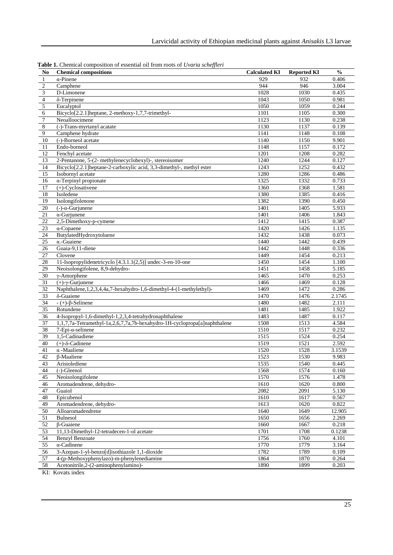| N <sub>0</sub>          | <b>There T</b> encrimely composition of coordinal on from roots of evaluation general<br><b>Chemical compositions</b> | <b>Calculated KI</b> | <b>Reported KI</b> | $\frac{0}{0}$ |
|-------------------------|-----------------------------------------------------------------------------------------------------------------------|----------------------|--------------------|---------------|
| $\mathbf{1}$            | $\alpha$ -Pinene                                                                                                      | 929                  | 932                | 0.406         |
| $\sqrt{2}$              | Camphene                                                                                                              | 944                  | 946                | 3.004         |
| $\overline{\mathbf{3}}$ | D-Limonene                                                                                                            | 1028                 | 1030               | 0.435         |
| $\overline{4}$          | δ-Terpinene                                                                                                           | 1043                 | 1050               | 0.981         |
| 5                       | Eucalyptol                                                                                                            | 1050                 | 1059               | 0.244         |
| $\epsilon$              | Bicyclo[2.2.1] heptane, 2-methoxy-1,7,7-trimethyl-                                                                    | 1101                 | 1105               | 0.300         |
| $\overline{7}$          | Neoalloocimene                                                                                                        | 1123                 | 1130               | 0.238         |
| $\,8\,$                 | (-)-Trans-myrtanyl acatate                                                                                            | 1130                 | 1137               | 0.139         |
| 9                       | Camphene hydrate                                                                                                      | 1141                 | 1148               | 0.108         |
| 10                      | (-)-Borneol acetate                                                                                                   | 1140                 | 1150               | 9.901         |
| 11                      | Endo-borneol                                                                                                          | 1148                 | 1157               | 0.172         |
| $\overline{12}$         | Fenchyl acetate                                                                                                       | 1201                 | 1208               | 0.282         |
| 13                      | 2-Pentanone, 5-(2- methylenecyclohexyl)-, stereoisomer                                                                | 1240                 | 1244               | 0.127         |
| 14                      | Bicyclo[2.2.1]heptane-2-carboxylic acid, 3,3-dimethyl-, methyl ester                                                  | 1243                 | 1252               | 0.432         |
| $\overline{15}$         | Isobornyl acetate                                                                                                     | 1280                 | 1286               | 0.486         |
| 16                      | α-Terpinyl propionate                                                                                                 | 1325                 | 1332               | 0.733         |
| 17                      | $(+)$ -Cyclosativene                                                                                                  | 1360                 | 1368               | 1.581         |
| 18                      | Isoledene                                                                                                             | 1380                 | 1385               | 0.416         |
| 19                      | Isolongifolenone                                                                                                      | 1382                 | 1390               | 0.450         |
| 20                      | $(-)-\alpha$ -Gurjunene                                                                                               | 1401                 | 1405               | 5.933         |
| 21                      | $\alpha$ -Gurjunene                                                                                                   | 1401                 | 1406               | 1.843         |
| $\overline{22}$         | 2,5-Dimethoxy-p-cymene                                                                                                | 1412                 | 1415               | 0.387         |
| 23                      | $\alpha$ -Copaene                                                                                                     | 1420                 | 1426               | 1.135         |
| 24                      | ButylatedHydroxytoluene                                                                                               | 1432                 | 1438               | 0.073         |
| $\overline{25}$         | $\alpha$ -Guaiene                                                                                                     | 1440                 | 1442               | 0.439         |
| 26                      | Guaia-9,11-diene                                                                                                      | 1442                 | 1448               | 0.336         |
| 27                      | Clovene                                                                                                               | 1449                 | 1454               | 0.213         |
| 28                      | 11-Isopropylidenetricyclo [4.3.1.1(2,5)] undec-3-en-10-one                                                            | 1450                 | 1454               | 1.100         |
| 29                      | Neoisolongifolene, 8,9-dehydro-                                                                                       | 1451                 | 1458               | 5.185         |
| 30                      | $\gamma$ -Amorphene                                                                                                   | 1465                 | 1470               | 0.253         |
| 31                      | $(+)$ - $\gamma$ -Gurjunene                                                                                           | 1466                 | 1469               | 0.128         |
| 32                      | Naphthalene, 1, 2, 3, 4, 4a, 7-hexahydro-1, 6-dimethyl-4-(1-methylethyl)-                                             | 1469                 | 1472               | 0.286         |
| $\overline{33}$         | δ-Guaiene                                                                                                             | 1470                 | 1476               | 2.1745        |
| 34                      | $- (+)-β$ -Selinene                                                                                                   | 1480                 | 1482               | 2.111         |
| $\overline{35}$         | Rotundene                                                                                                             | 1481                 | 1485               | 1.922         |
| 36                      | 4-Isopropyl-1,6-dimethyl-1,2,3,4-tetrahydronaphthalene                                                                | 1483                 | 1487               | 0.117         |
| 37                      | 1,1,7,7a-Tetramethyl-1a,2,6,7,7a,7b-hexahydro-1H-cyclopropa[a]naphthalene                                             | 1508                 | 1513               | 4.584         |
| 38                      | $7$ -Epi- $\alpha$ -selinene                                                                                          | 1510                 | 1517               | 0.232         |
| 39                      | 1.5-Cadinadiene                                                                                                       | 1515                 | 1524               | 0.254         |
| 40                      | $(+)$ - $\delta$ -Cadinene                                                                                            | 1519                 | 1521               | 2.592         |
| 41                      | $\alpha$ -Maaliene                                                                                                    | 1520                 | 1528               | 3.1539        |
| 42                      | <b>B-Maaliene</b>                                                                                                     | 1523                 | 1530               | 9.983         |
| 43                      | Aristolediene                                                                                                         | 1535                 | 1540               | 0.445         |
| 44                      | $(-)$ -Gleenol                                                                                                        | 1568                 | 1574               | 0.160         |
| 45                      | Neoisolongifolene                                                                                                     | 1570                 | 1576               | 1.478         |
| 46                      | Aromadendrene, dehydro-                                                                                               | 1610                 | 1620               | 0.800         |
| 47                      | Guaiol                                                                                                                | 2082                 | 2091               | 5.130         |
| 48                      | Epicubenol                                                                                                            | 1610                 | 1617               | 0.567         |
| 49                      | Aromadendrene, dehydro-                                                                                               | 1613                 | 1620               | 0.822         |
| 50                      | Alloaromadendrene                                                                                                     | 1640                 | 1649               | 12.905        |
| 51                      | <b>Bulnesol</b>                                                                                                       | 1650                 | 1656               | 2.269         |
| $\overline{52}$         | $\beta$ -Guaiene                                                                                                      | 1660                 | 1667               | 0.218         |
| 53                      | 11,13-Dimethyl-12-tetradecen-1-ol acetate                                                                             | 1701                 | 1708               | 0.1238        |
| 54                      | <b>Benzyl Benzoate</b>                                                                                                | 1756                 | 1760               | 4.101         |
| 55                      | $\alpha$ -Cadinene                                                                                                    | 1770                 | 1779               | 3.164         |
| 56                      | 3-Azepan-1-yl-benzo[d]isothiazole 1,1-dioxide                                                                         | 1782                 | 1789               | 0.109         |
| 57                      | 4-(p-Methoxyphenylazo)-m-phenylenediamine                                                                             | 1864                 | 1870               | 0.264         |
| 58                      | Acetonitrile, 2-(2-aminophenylamino)-                                                                                 | 1890                 | 1899               | 0.203         |
|                         |                                                                                                                       |                      |                    |               |

**Table 1.** Chemical composition of essential oil from roots of *Uvaria scheffleri*

KI: Kovats index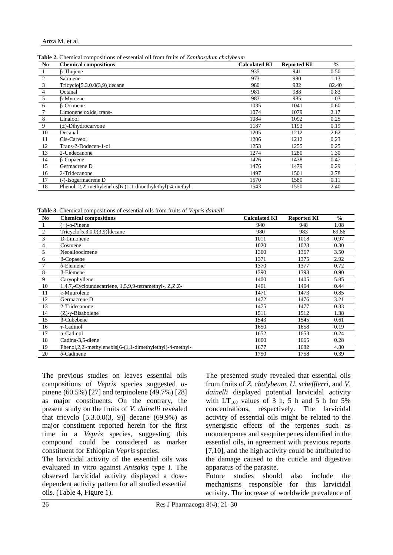**Table 2.** Chemical compositions of essential oil from fruits of *Zanthoxylum chalybeum*

| No             | <b>Chemical compositions</b>                              | <b>Calculated KI</b> | <b>Reported KI</b> | $\frac{0}{0}$ |
|----------------|-----------------------------------------------------------|----------------------|--------------------|---------------|
|                | $\beta$ -Thujene                                          | 935                  | 941                | 0.50          |
| 2              | Sabinene                                                  | 973                  | 980                | 1.13          |
| 3              | Tricyclo <sup>[5.3.0.0(3,9)</sup> ] decane                | 980                  | 982                | 82.40         |
| $\overline{4}$ | Octanal                                                   | 981                  | 988                | 0.83          |
| 5              | <b>B-Myrcene</b>                                          | 983                  | 985                | 1.03          |
| 6              | <b>B-Ocimene</b>                                          | 1035                 | 1041               | 0.60          |
| 7              | Limonene oxide, trans-                                    | 1074                 | 1079               | 2.17          |
| 8              | Linalool                                                  | 1084                 | 1092               | 0.25          |
| 9              | $(\pm)$ -Dihydrocarvone                                   | 1187                 | 1193               | 0.19          |
| 10             | Decanal                                                   | 1205                 | 1212               | 2.62          |
| 11             | Cis-Carveol                                               | 1206                 | 1212               | 0.23          |
| 12             | Trans-2-Dodecen-1-ol                                      | 1253                 | 1255               | 0.25          |
| 13             | 2-Undecanone                                              | 1274                 | 1280               | 1.30          |
| 14             | $\beta$ -Copaene                                          | 1426                 | 1438               | 0.47          |
| 15             | Germacrene D                                              | 1476                 | 1479               | 0.29          |
| 16             | 2-Tridecanone                                             | 1497                 | 1501               | 2.78          |
| 17             | (-)-Isogermacrene D                                       | 1570                 | 1580               | 0.11          |
| 18             | Phenol, 2,2'-methylenebis[6-(1,1-dimethylethyl)-4-methyl- | 1543                 | 1550               | 2.40          |

**Table 3.** Chemical compositions of essential oils from fruits of *Vepris dainelli*

| N <sub>0</sub> | <b>Chemical compositions</b>                               | <b>Calculated KI</b> | <b>Reported KI</b> | $\frac{0}{0}$ |
|----------------|------------------------------------------------------------|----------------------|--------------------|---------------|
|                | $(+)$ - $\alpha$ -Pinene                                   | 940                  | 948                | 1.08          |
| 2              | $Tricyclo[5.3.0.0(3.9)]$ decane                            | 980                  | 983                | 69.86         |
| 3              | D-Limonene                                                 | 1011                 | 1018               | 0.97          |
| 4              | Cosmene                                                    | 1020                 | 1023               | 0.30          |
| 5              | Neoalloocimene                                             | 1360                 | 1367               | 3.50          |
| 6              | <b>B-Copaene</b>                                           | 1371                 | 1375               | 2.92          |
| 7              | $\delta$ -Elemene                                          | 1370                 | 1377               | 0.72          |
| 8              | <b>B-Elemene</b>                                           | 1390                 | 1398               | 0.90          |
| 9              | Caryophyllene                                              | 1400                 | 1405               | 5.85          |
| 10             | 1,4,7,-Cycloundecatriene, 1,5,9,9-tetramethyl-, Z,Z,Z-     | 1461                 | 1464               | 0.44          |
| 11             | ε-Muurolene                                                | 1471                 | 1473               | 0.85          |
| 12             | Germacrene D                                               | 1472                 | 1476               | 3.21          |
| 13             | 2-Tridecanone                                              | 1475                 | 1477               | 0.33          |
| 14             | $(Z)$ - $\gamma$ -Bisabolene                               | 1511                 | 1512               | 1.38          |
| 15             | $\beta$ -Cubebene                                          | 1543                 | 1545               | 0.61          |
| 16             | $\tau$ -Cadinol                                            | 1650                 | 1658               | 0.19          |
| 17             | $\alpha$ -Cadinol                                          | 1652                 | 1653               | 0.24          |
| 18             | Cadina-3,5-diene                                           | 1660                 | 1665               | 0.28          |
| 19             | Phenol, 2, 2'-methylenebis[6-(1,1-dimethylethyl)-4-methyl- | 1677                 | 1682               | 4.80          |
| 20             | $\delta$ -Cadinene                                         | 1750                 | 1758               | 0.39          |

The previous studies on leaves essential oils compositions of *Vepris* species suggested αpinene (60.5%) [27] and terpinolene (49.7%) [28] as major constituents. On the contrary, the present study on the fruits of *V. dainelli* revealed that tricyclo  $[5.3.0.0(3, 9)]$  decane  $(69.9\%)$  as major constituent reported herein for the first time in a *Vepris* species, suggesting this compound could be considered as marker constituent for Ethiopian *Vepris* species.

The larvicidal activity of the essential oils was evaluated in vitro against *Anisakis* type I. The observed larvicidal activity displayed a dosedependent activity pattern for all studied essential oils. (Table 4, Figure 1).

The presented study revealed that essential oils from fruits of *Z. chalybeum, U. schefflerri,* and *V. dainelli* displayed potential larvicidal activity with  $LT_{100}$  values of 3 h, 5 h and 5 h for 5% concentrations, respectively. The larvicidal activity of essential oils might be related to the synergistic effects of the terpenes such as monoterpenes and sesquiterpenes identified in the essential oils, in agreement with previous reports [7,10], and the high activity could be attributed to the damage caused to the cuticle and digestive apparatus of the parasite.

Future studies should also include the mechanisms responsible for this larvicidal activity. The increase of worldwide prevalence of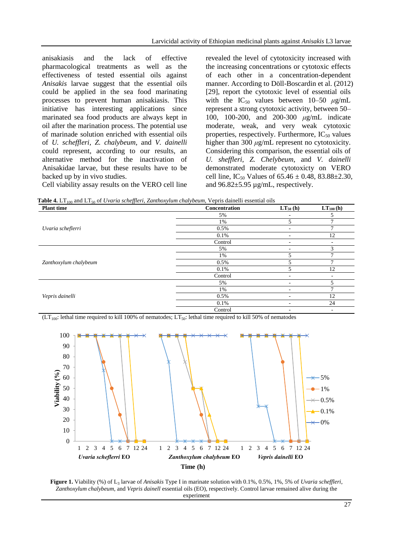anisakiasis and the lack of effective pharmacological treatments as well as the effectiveness of tested essential oils against *Anisakis* larvae suggest that the essential oils could be applied in the sea food marinating processes to prevent human anisakiasis. This initiative has interesting applications since marinated sea food products are always kept in oil after the marination process. The potential use of marinade solution enriched with essential oils of *U. scheffleri, Z. chalybeum*, and *V. dainelli* could represent, according to our results, an alternative method for the inactivation of Anisakidae larvae, but these results have to be backed up by in vivo studies. Cell viability assay results on the VERO cell line revealed the level of cytotoxicity increased with the increasing concentrations or cytotoxic effects of each other in a concentration-dependent manner. According to Döll-Boscardin et al. (2012) [29], report the cytotoxic level of essential oils with the  $IC_{50}$  values between 10–50  $\mu$ g/mL represent a strong cytotoxic activity, between 50– 100, 100-200, and 200-300 *μ*g/mL indicate moderate, weak, and very weak cytotoxic properties, respectively. Furthermore,  $IC_{50}$  values higher than 300 *μ*g/mL represent no cytotoxicity. Considering this comparison, the essential oils of *U. sheffleri*, *Z. Chelybeum*, and *V. dainelli*  demonstrated moderate cytotoxicty on VERO cell line, IC<sub>50</sub> Values of  $65.46 \pm 0.48$ ,  $83.88 \pm 2.30$ , and  $96.82 \pm 5.95$  µg/mL, respectively.

Table 4. LT<sub>100</sub> and LT<sub>50</sub> of *Uvaria scheffleri*, *Zanthoxylum chalybeum*, Vepris dainelli essential oils

| <b>Plant</b> time     | Concentration | $LT_{50}$ (h) | $LT_{100}$ (h)                 |
|-----------------------|---------------|---------------|--------------------------------|
| Uvaria scheflerri     | 5%            | ۰             | 5                              |
|                       | 1%            | 5             | ⇁                              |
|                       | 0.5%          | Ξ.            |                                |
|                       | 0.1%          | ٠             | 12                             |
|                       | Control       | ۰.            | ۰                              |
| Zanthoxylum chalybeum | 5%            | ۰             | 3                              |
|                       | 1%            | 5             | ⇁                              |
|                       | 0.5%          | 5             |                                |
|                       | 0.1%          | 5             | 12                             |
|                       | Control       | ۰             | ۰                              |
|                       | 5%            | ٠             | 5                              |
|                       | 1%            | -             | $\mathcal{I}$<br>12<br>24<br>۰ |
| Vepris dainelli       | 0.5%          | ٠             |                                |
|                       | 0.1%          | ۰             |                                |
|                       | Control       | ۰             |                                |

 $(LT<sub>100</sub>:$  lethal time required to kill 100% of nematodes;  $LT<sub>50</sub>:$  lethal time required to kill 50% of nematodes



**Figure 1.** Viability (%) of L<sub>3</sub> larvae of *Anisakis* Type I in marinate solution with 0.1%, 0.5%, 1%, 5% of *Uvaria scheffleri*, *Zanthoxylum chalybeum,* and *Vepris dainell* essential oils (EO), respectively. Control larvae remained alive during the experiment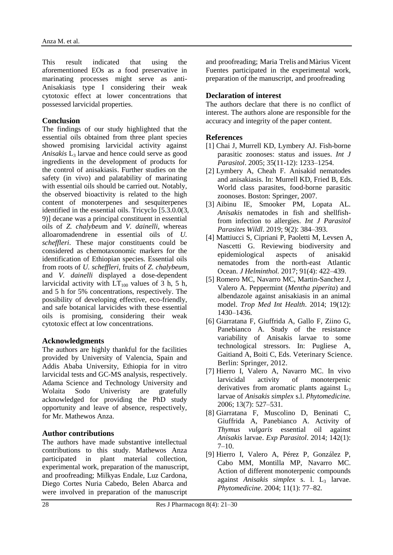This result indicated that using the aforementioned EOs as a food preservative in marinating processes might serve as anti-Anisakiasis type I considering their weak cytotoxic effect at lower concentrations that possessed larvicidal properties.

### **Conclusion**

The findings of our study highlighted that the essential oils obtained from three plant species showed promising larvicidal activity against *Anisakis*  $L_3$  larvae and hence could serve as good ingredients in the development of products for the control of anisakiasis. Further studies on the safety (in vivo) and palatability of marinating with essential oils should be carried out. Notably, the observed bioactivity is related to the high content of monoterpenes and sesquiterpenes identified in the essential oils. Tricyclo [5.3.0.0(3, 9)] decane was a principal constituent in essential oils of *Z. chalybeu*m and *V. dainelli*, whereas alloaromadendrene in essential oils of *U. scheffleri*. These major constituents could be considered as chemotaxonomic markers for the identification of Ethiopian species. Essential oils from roots of *U. scheffleri,* fruits of *Z. chalybeum,*  and *V. dainelli* displayed a dose-dependent larvicidal activity with  $LT_{100}$  values of 3 h, 5 h, and 5 h for 5% concentrations, respectively. The possibility of developing effective, eco-friendly, and safe botanical larvicides with these essential oils is promising, considering their weak cytotoxic effect at low concentrations.

### **Acknowledgments**

The authors are highly thankful for the facilities provided by University of Valencia, Spain and Addis Ababa University, Ethiopia for in vitro larvicidal tests and GC-MS analysis, respectively. Adama Science and Technology University and Wolaita Sodo Univeristy are gratefully acknowledged for providing the PhD study opportunity and leave of absence, respectively, for Mr. Mathewos Anza.

### **Author contributions**

The authors have made substantive intellectual contributions to this study. Mathewos Anza participated in plant material collection, experimental work, preparation of the manuscript, and proofreading; Milkyas Endale, Luz Cardona, Diego Cortes Nuria Cabedo, Belen Abarca and were involved in preparation of the manuscript

and proofreading; Maria Trelis and Màrius Vicent Fuentes participated in the experimental work, preparation of the manuscript, and proofreading

# **Declaration of interest**

The authors declare that there is no conflict of interest. The authors alone are responsible for the accuracy and integrity of the paper content.

### **References**

- [1] Chai J, Murrell KD, Lymbery AJ. Fish-borne parasitic zoonoses: status and issues. *Int J Parasitol*. 2005; 35(11-12): 1233–1254.
- [2] Lymbery A, Cheah F. Anisakid nematodes and anisakiasis. In: Murrell KD, Fried B, Eds. World class parasites, food-borne parasitic zoonoses. Boston: Springer, 2007.
- [3] Aibinu IE, Smooker PM, Lopata AL. *Anisakis* nematodes in fish and shellfishfrom infection to allergies. *Int J Parasitol Parasites Wildl*. 2019; 9(2): 384–393.
- [4] Mattiucci S, Cipriani P, Paoletti M, Levsen A, Nascetti G. Reviewing biodiversity and epidemiological aspects of anisakid nematodes from the north-east Atlantic Ocean. *J Helminthol.* 2017; 91(4): 422–439.
- [5] Romero MC, Navarro MC, Martin-Sanchez J, Valero A. Peppermint (*Mentha piperita*) and albendazole against anisakiasis in an animal model. *Trop Med Int Health*. 2014; 19(12): 1430–1436.
- [6] Giarratana F, Giuffrida A, Gallo F, Ziino G, Panebianco A. Study of the resistance variability of Anisakis larvae to some technological stressors. In: Pugliese A, Gaitiand A, Boiti C, Eds. Veterinary Science. Berlin: Springer, 2012.
- [7] Hierro I, Valero A, Navarro MC. In vivo larvicidal activity of monoterpenic derivatives from aromatic plants against  $L<sub>3</sub>$ larvae of *Anisakis simplex* s.l. *Phytomedicine.* 2006; 13(7): 527–531.
- [8] Giarratana F, Muscolino D, Beninati C, Giuffrida A, Panebianco A. Activity of *Thymus vulgaris* essential oil against *Anisakis* larvae. *Exp Parasitol*. 2014; 142(1):  $7-10.$
- [9] Hierro I, Valero A, Pérez P, González P, Cabo MM, Montilla MP, Navarro MC. Action of different monoterpenic compounds against *Anisakis simplex* s. l. L<sub>3</sub> larvae. *Phytomedicine*. 2004; 11(1): 77–82.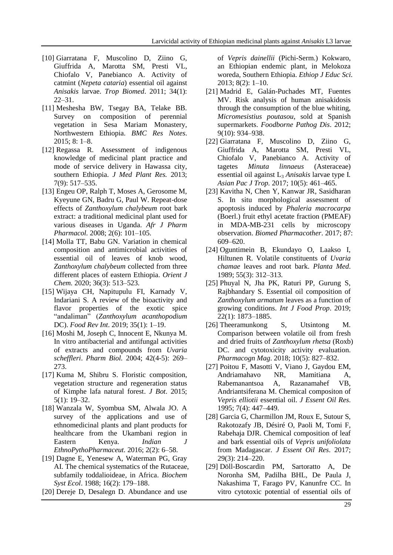- [10] Giarratana F, Muscolino D, Ziino G, Giuffrida A, Marotta SM, Presti VL, Chiofalo V, Panebianco A. Activity of catmint (*Nepeta cataria*) essential oil against *Anisakis* larvae. *Trop Biomed*. 2011; 34(1): 22–31.
- [11] Meshesha BW, Tsegay BA, Telake BB. Survey on composition of perennial vegetation in Sesa Mariam Monastery, Northwestern Ethiopia. *BMC Res Notes*. 2015; 8: 1–8.
- [12] Regassa R. Assessment of indigenous knowledge of medicinal plant practice and mode of service delivery in Hawassa city, southern Ethiopia. *J Med Plant Res.* 2013; 7(9): 517–535.
- [13] Engeu OP, Ralph T, Moses A, Gerosome M, Kyeyune GN, Badru G, Paul W. Repeat-dose effects of *Zanthoxylum chalybeum* root bark extract: a traditional medicinal plant used for various diseases in Uganda. *Afr J Pharm Pharmacol.* 2008; 2(6): 101–105.
- [14] Molla TT, Babu GN. Variation in chemical composition and antimicrobial activities of essential oil of leaves of knob wood, *Zanthoxylum chalybeum* collected from three different places of eastern Ethiopia. *Orient J Chem.* 2020; 36(3): 513–523.
- [15] Wijaya CH, Napitupulu FI, Karnady V, Indariani S. A review of the bioactivity and flavor properties of the exotic spice "andaliman" (*Zanthoxylum acanthopodium* DC). *Food Rev Int*. 2019; 35(1): 1–19.
- [16] Moshi M, Joseph C, Innocent E, Nkunya M. In vitro antibacterial and antifungal activities of extracts and compounds from *Uvaria scheffleri*. *Pharm Biol.* 2004; 42(4-5): 269– 273.
- [17] Kuma M, Shibru S. Floristic composition, vegetation structure and regeneration status of Kimphe lafa natural forest. *J Bot*. 2015; 5(1): 19–32.
- [18] Wanzala W, Syombua SM, Alwala JO. A survey of the applications and use of ethnomedicinal plants and plant products for healthcare from the Ukambani region in Eastern Kenya. *Indian J EthnoPythoPharmaceut.* 2016; 2(2): 6–58.
- [19] Dagne E, Yenesew A, Waterman PG, Gray AI. The chemical systematics of the Rutaceae, subfamily toddalioideae, in Africa. *Biochem Syst Ecol*. 1988; 16(2): 179–188.
- [20] Dereje D, Desalegn D. Abundance and use

of *Vepris dainellii* (Pichi-Serm.) Kokwaro, an Ethiopian endemic plant, in Melokoza woreda, Southern Ethiopia. *Ethiop J Educ Sci*. 2013; 8(2): 1–10.

- [21] Madrid E, Galán-Puchades MT, Fuentes MV. Risk analysis of human anisakidosis through the consumption of the blue whiting, *Micromesistius poutasou*, sold at Spanish supermarkets. *Foodborne Pathog Dis*. 2012; 9(10): 934–938.
- [22] Giarratana F, Muscolino D, Ziino G, Giuffrida A, Marotta SM, Presti VL, Chiofalo V, Panebianco A. Activity of tagetes *Minuta linnaeus* (Asteraceae) essential oil against L<sup>3</sup> *Anisakis* larvae type I*. Asian Pac J Trop.* 2017; 10(5): 461–465.
- [23] Kavitha N, Chen Y, Kanwar JR, Sasidharan S. In situ morphological assessment of apoptosis induced by *Phaleria macrocarpa* (Boerl.) fruit ethyl acetate fraction (PMEAF) in MDA-MB-231 cells by microscopy observation. *Biomed Pharmacother*. 2017; 87: 609–620.
- [24] Oguntimein B, Ekundayo O, Laakso I, Hiltunen R. Volatile constituents of *Uvaria chamae* leaves and root bark. *Planta Med*. 1989; 55(3): 312–313.
- [25] Phuyal N, Jha PK, Raturi PP, Gurung S, Rajbhandary S. Essential oil composition of *Zanthoxylum armatum* leaves as a function of growing conditions. *Int J Food Prop*. 2019; 22(1): 1873–1885.
- [26] Theeramunkong S, Utsintong M. Comparison between volatile oil from fresh and dried fruits of *Zanthoxylum rhetsa* (Roxb) DC. and cytotoxicity activity evaluation. *Pharmacogn Mag*. 2018; 10(5): 827–832.
- [27] Poitou F, Masotti V, Viano J, Gaydou EM, Andriamahavo NR, Mamitiana A, Rabemanantsoa A, Razanamahef VB, Andriantsiferana M. Chemical compositon of *Vepris elliotii* essential oil. *J Essent Oil Res*. 1995; 7(4): 447–449.
- [28] Garcia G, Charmillon JM, Roux E, Sutour S, Rakotozafy JB, Désiré O, Paoli M, Tomi F, Rabehaja DJR. Chemical composition of leaf and bark essential oils of *Vepris unifoliolata* from Madagascar. *J Essent Oil Res*. 2017; 29(3): 214–220.
- [29] Döll-Boscardin PM, Sartoratto A, De Noronha SM, Padilha BHL, De Paula J, Nakashima T, Farago PV, Kanunfre CC. In vitro cytotoxic potential of essential oils of